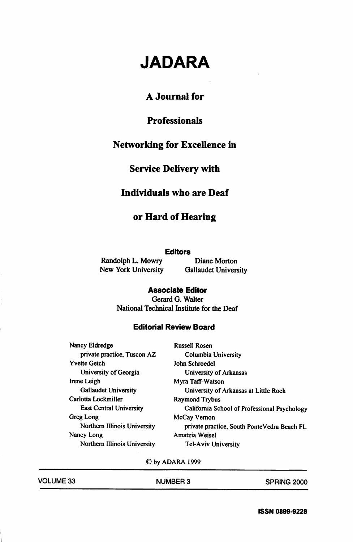# JADARA

## A Journal for

## Professionals

## Networking for Excellence in

#### Service Delivery with

# Individuals who are Deaf

### or Hard of Hearing

#### **Editors**

Randolph L. Mowry Diane Morton

New York University Gallaudet University

#### Associate Editor

Gerard G. Walter National Technical Institute for the Deaf

#### Editoriai Review Board

| <b>Russell Rosen</b>                         |
|----------------------------------------------|
| Columbia University                          |
| John Schroedel                               |
| University of Arkansas                       |
| Myra Taff-Watson                             |
| University of Arkansas at Little Rock        |
| <b>Raymond Trybus</b>                        |
| California School of Professional Psychology |
| McCay Vernon                                 |
| private practice, South PonteVedra Beach FL  |
| Amatzia Weisel                               |
| <b>Tel-Aviv University</b>                   |
|                                              |

©by ADARA 1999

| <b>VOLUME 33</b> | <b>NUMBER 3</b> | SPRING 2000 |
|------------------|-----------------|-------------|
|                  |                 |             |